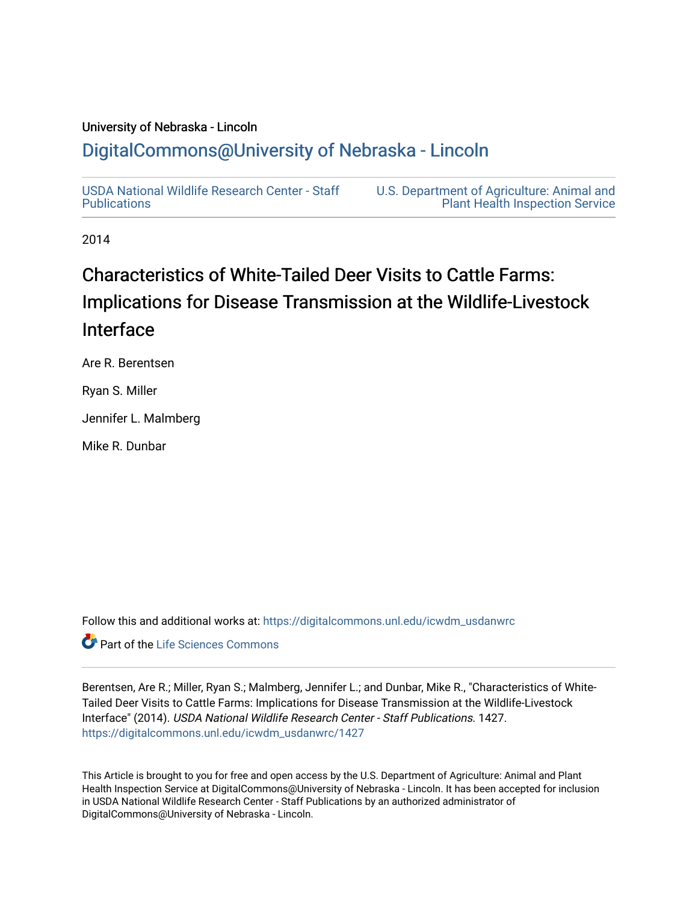## University of Nebraska - Lincoln

## [DigitalCommons@University of Nebraska - Lincoln](https://digitalcommons.unl.edu/)

[USDA National Wildlife Research Center - Staff](https://digitalcommons.unl.edu/icwdm_usdanwrc)  [Publications](https://digitalcommons.unl.edu/icwdm_usdanwrc) 

[U.S. Department of Agriculture: Animal and](https://digitalcommons.unl.edu/usdaaphis)  [Plant Health Inspection Service](https://digitalcommons.unl.edu/usdaaphis) 

2014

# Characteristics of White-Tailed Deer Visits to Cattle Farms: Implications for Disease Transmission at the Wildlife-Livestock Interface

Are R. Berentsen

Ryan S. Miller

Jennifer L. Malmberg

Mike R. Dunbar

Follow this and additional works at: [https://digitalcommons.unl.edu/icwdm\\_usdanwrc](https://digitalcommons.unl.edu/icwdm_usdanwrc?utm_source=digitalcommons.unl.edu%2Ficwdm_usdanwrc%2F1427&utm_medium=PDF&utm_campaign=PDFCoverPages)

Part of the [Life Sciences Commons](http://network.bepress.com/hgg/discipline/1016?utm_source=digitalcommons.unl.edu%2Ficwdm_usdanwrc%2F1427&utm_medium=PDF&utm_campaign=PDFCoverPages) 

Berentsen, Are R.; Miller, Ryan S.; Malmberg, Jennifer L.; and Dunbar, Mike R., "Characteristics of White-Tailed Deer Visits to Cattle Farms: Implications for Disease Transmission at the Wildlife-Livestock Interface" (2014). USDA National Wildlife Research Center - Staff Publications. 1427. [https://digitalcommons.unl.edu/icwdm\\_usdanwrc/1427](https://digitalcommons.unl.edu/icwdm_usdanwrc/1427?utm_source=digitalcommons.unl.edu%2Ficwdm_usdanwrc%2F1427&utm_medium=PDF&utm_campaign=PDFCoverPages) 

This Article is brought to you for free and open access by the U.S. Department of Agriculture: Animal and Plant Health Inspection Service at DigitalCommons@University of Nebraska - Lincoln. It has been accepted for inclusion in USDA National Wildlife Research Center - Staff Publications by an authorized administrator of DigitalCommons@University of Nebraska - Lincoln.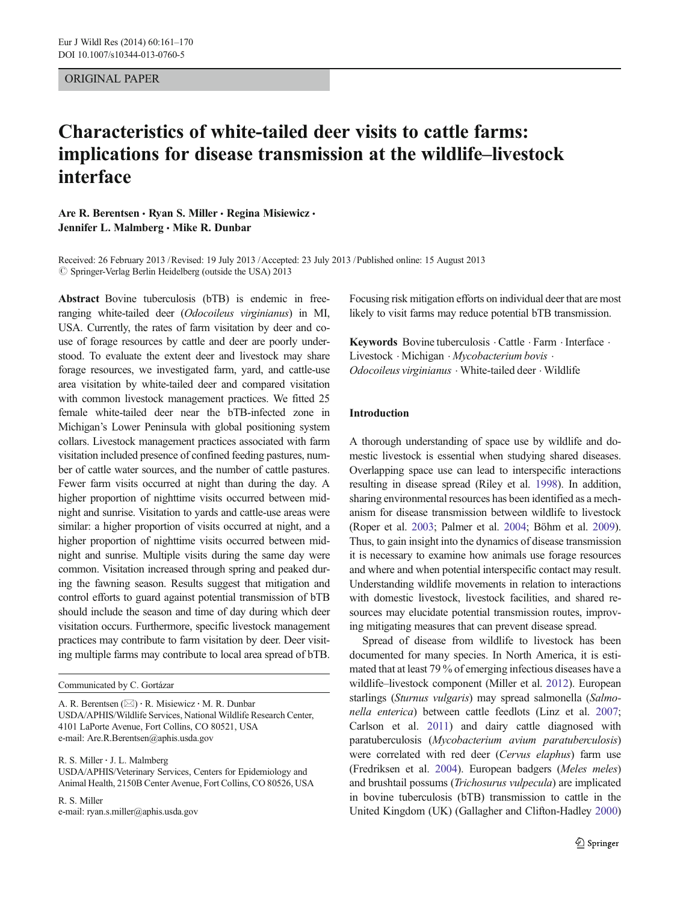## ORIGINAL PAPER

## Characteristics of white-tailed deer visits to cattle farms: implications for disease transmission at the wildlife–livestock interface

Are R. Berentsen · Ryan S. Miller · Regina Misiewicz · Jennifer L. Malmberg · Mike R. Dunbar

Received: 26 February 2013 /Revised: 19 July 2013 /Accepted: 23 July 2013 /Published online: 15 August 2013  $\oslash$  Springer-Verlag Berlin Heidelberg (outside the USA) 2013

Abstract Bovine tuberculosis (bTB) is endemic in freeranging white-tailed deer (Odocoileus virginianus) in MI, USA. Currently, the rates of farm visitation by deer and couse of forage resources by cattle and deer are poorly understood. To evaluate the extent deer and livestock may share forage resources, we investigated farm, yard, and cattle-use area visitation by white-tailed deer and compared visitation with common livestock management practices. We fitted 25 female white-tailed deer near the bTB-infected zone in Michigan's Lower Peninsula with global positioning system collars. Livestock management practices associated with farm visitation included presence of confined feeding pastures, number of cattle water sources, and the number of cattle pastures. Fewer farm visits occurred at night than during the day. A higher proportion of nighttime visits occurred between midnight and sunrise. Visitation to yards and cattle-use areas were similar: a higher proportion of visits occurred at night, and a higher proportion of nighttime visits occurred between midnight and sunrise. Multiple visits during the same day were common. Visitation increased through spring and peaked during the fawning season. Results suggest that mitigation and control efforts to guard against potential transmission of bTB should include the season and time of day during which deer visitation occurs. Furthermore, specific livestock management practices may contribute to farm visitation by deer. Deer visiting multiple farms may contribute to local area spread of bTB.

Communicated by C. Gortázar

A. R. Berentsen  $(\boxtimes) \cdot$  R. Misiewicz  $\cdot$  M. R. Dunbar USDA/APHIS/Wildlife Services, National Wildlife Research Center, 4101 LaPorte Avenue, Fort Collins, CO 80521, USA e-mail: Are.R.Berentsen@aphis.usda.gov

R. S. Miller : J. L. Malmberg USDA/APHIS/Veterinary Services, Centers for Epidemiology and Animal Health, 2150B Center Avenue, Fort Collins, CO 80526, USA

R. S. Miller e-mail: ryan.s.miller@aphis.usda.gov Focusing risk mitigation efforts on individual deer that are most likely to visit farms may reduce potential bTB transmission.

Keywords Bovine tuberculosis  $\cdot$  Cattle  $\cdot$  Farm  $\cdot$  Interface  $\cdot$ Livestock . Michigan . Mycobacterium bovis . Odocoileus virginianus . White-tailed deer . Wildlife

## Introduction

A thorough understanding of space use by wildlife and domestic livestock is essential when studying shared diseases. Overlapping space use can lead to interspecific interactions resulting in disease spread (Riley et al. [1998](#page-10-0)). In addition, sharing environmental resources has been identified as a mechanism for disease transmission between wildlife to livestock (Roper et al. [2003](#page-10-0); Palmer et al. [2004](#page-9-0); Böhm et al. [2009\)](#page-9-0). Thus, to gain insight into the dynamics of disease transmission it is necessary to examine how animals use forage resources and where and when potential interspecific contact may result. Understanding wildlife movements in relation to interactions with domestic livestock, livestock facilities, and shared resources may elucidate potential transmission routes, improving mitigating measures that can prevent disease spread.

Spread of disease from wildlife to livestock has been documented for many species. In North America, it is estimated that at least 79 % of emerging infectious diseases have a wildlife–livestock component (Miller et al. [2012](#page-9-0)). European starlings (Sturnus vulgaris) may spread salmonella (Salmonella enterica) between cattle feedlots (Linz et al. [2007;](#page-9-0) Carlson et al. [2011\)](#page-9-0) and dairy cattle diagnosed with paratuberculosis (Mycobacterium avium paratuberculosis) were correlated with red deer (Cervus elaphus) farm use (Fredriksen et al. [2004\)](#page-9-0). European badgers (Meles meles) and brushtail possums (Trichosurus vulpecula) are implicated in bovine tuberculosis (bTB) transmission to cattle in the United Kingdom (UK) (Gallagher and Clifton-Hadley [2000](#page-9-0))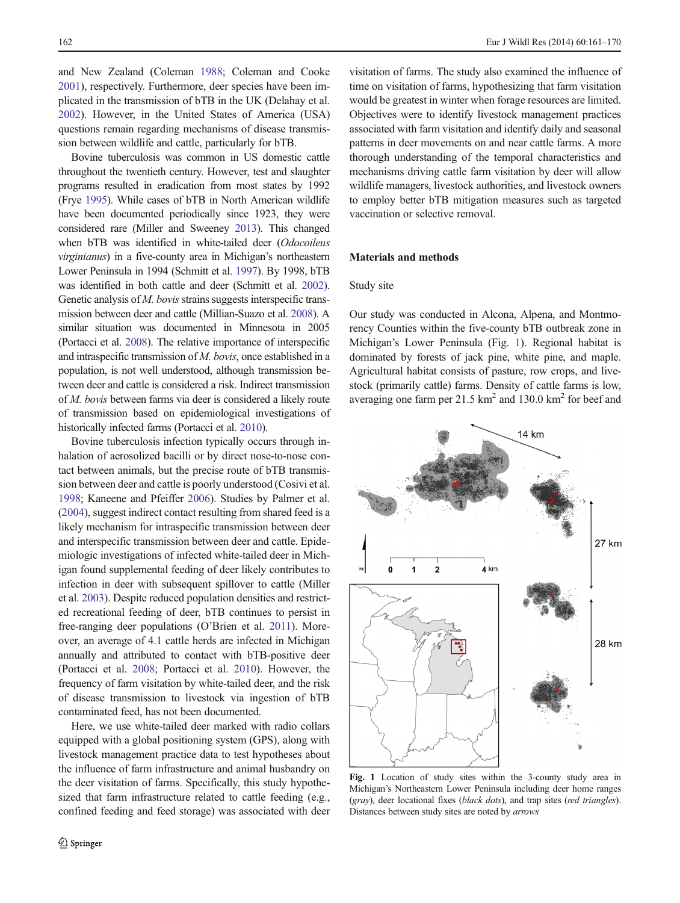<span id="page-2-0"></span>and New Zealand (Coleman [1988;](#page-9-0) Coleman and Cooke [2001\)](#page-9-0), respectively. Furthermore, deer species have been implicated in the transmission of bTB in the UK (Delahay et al. [2002\)](#page-9-0). However, in the United States of America (USA) questions remain regarding mechanisms of disease transmission between wildlife and cattle, particularly for bTB.

Bovine tuberculosis was common in US domestic cattle throughout the twentieth century. However, test and slaughter programs resulted in eradication from most states by 1992 (Frye [1995\)](#page-9-0). While cases of bTB in North American wildlife have been documented periodically since 1923, they were considered rare (Miller and Sweeney [2013](#page-9-0)). This changed when bTB was identified in white-tailed deer (Odocoileus virginianus) in a five-county area in Michigan's northeastern Lower Peninsula in 1994 (Schmitt et al. [1997\)](#page-10-0). By 1998, bTB was identified in both cattle and deer (Schmitt et al. [2002\)](#page-10-0). Genetic analysis of  $M$ . bovis strains suggests interspecific transmission between deer and cattle (Millian-Suazo et al. [2008](#page-9-0)). A similar situation was documented in Minnesota in 2005 (Portacci et al. [2008\)](#page-10-0). The relative importance of interspecific and intraspecific transmission of M. bovis, once established in a population, is not well understood, although transmission between deer and cattle is considered a risk. Indirect transmission of M. bovis between farms via deer is considered a likely route of transmission based on epidemiological investigations of historically infected farms (Portacci et al. [2010](#page-9-0)).

Bovine tuberculosis infection typically occurs through inhalation of aerosolized bacilli or by direct nose-to-nose contact between animals, but the precise route of bTB transmission between deer and cattle is poorly understood (Cosivi et al. [1998;](#page-9-0) Kaneene and Pfeiffer [2006](#page-9-0)). Studies by Palmer et al. [\(2004\)](#page-9-0), suggest indirect contact resulting from shared feed is a likely mechanism for intraspecific transmission between deer and interspecific transmission between deer and cattle. Epidemiologic investigations of infected white-tailed deer in Michigan found supplemental feeding of deer likely contributes to infection in deer with subsequent spillover to cattle (Miller et al. [2003](#page-9-0)). Despite reduced population densities and restricted recreational feeding of deer, bTB continues to persist in free-ranging deer populations (O'Brien et al. [2011](#page-9-0)). Moreover, an average of 4.1 cattle herds are infected in Michigan annually and attributed to contact with bTB-positive deer (Portacci et al. [2008;](#page-10-0) Portacci et al. [2010\)](#page-9-0). However, the frequency of farm visitation by white-tailed deer, and the risk of disease transmission to livestock via ingestion of bTB contaminated feed, has not been documented.

Here, we use white-tailed deer marked with radio collars equipped with a global positioning system (GPS), along with livestock management practice data to test hypotheses about the influence of farm infrastructure and animal husbandry on the deer visitation of farms. Specifically, this study hypothesized that farm infrastructure related to cattle feeding (e.g., confined feeding and feed storage) was associated with deer

visitation of farms. The study also examined the influence of time on visitation of farms, hypothesizing that farm visitation would be greatest in winter when forage resources are limited. Objectives were to identify livestock management practices associated with farm visitation and identify daily and seasonal patterns in deer movements on and near cattle farms. A more thorough understanding of the temporal characteristics and mechanisms driving cattle farm visitation by deer will allow wildlife managers, livestock authorities, and livestock owners to employ better bTB mitigation measures such as targeted vaccination or selective removal.

### Materials and methods

## Study site

Our study was conducted in Alcona, Alpena, and Montmorency Counties within the five-county bTB outbreak zone in Michigan's Lower Peninsula (Fig. 1). Regional habitat is dominated by forests of jack pine, white pine, and maple. Agricultural habitat consists of pasture, row crops, and livestock (primarily cattle) farms. Density of cattle farms is low, averaging one farm per  $21.5 \text{ km}^2$  and  $130.0 \text{ km}^2$  for beef and



Fig. 1 Location of study sites within the 3-county study area in Michigan's Northeastern Lower Peninsula including deer home ranges (gray), deer locational fixes (black dots), and trap sites (red triangles). Distances between study sites are noted by arrows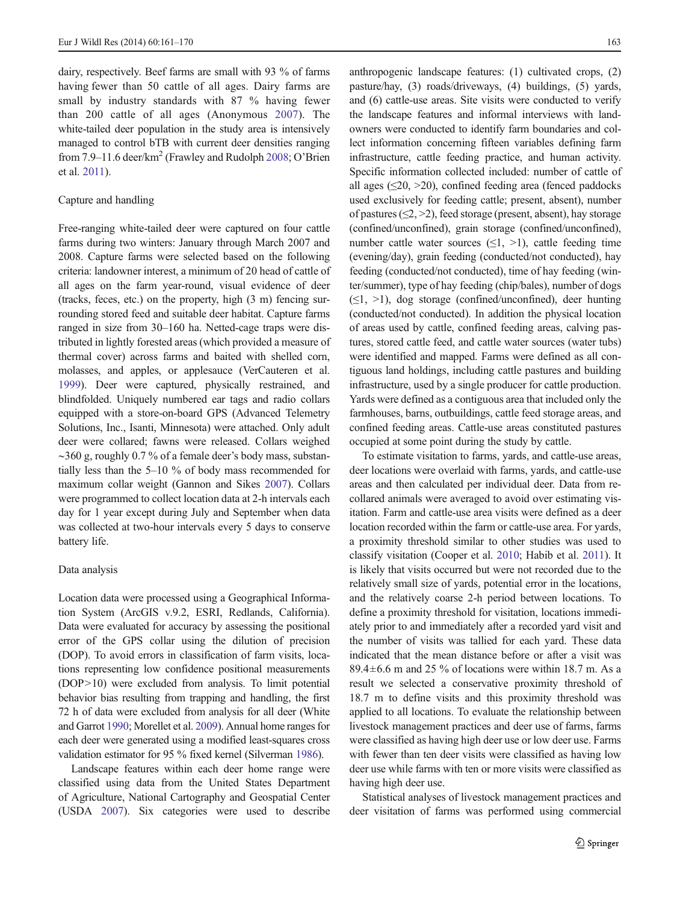dairy, respectively. Beef farms are small with 93 % of farms having fewer than 50 cattle of all ages. Dairy farms are small by industry standards with 87 % having fewer than 200 cattle of all ages (Anonymous [2007](#page-8-0)). The white-tailed deer population in the study area is intensively managed to control bTB with current deer densities ranging from  $7.9-11.6$  deer/km<sup>2</sup> (Frawley and Rudolph [2008;](#page-9-0) O'Brien et al. [2011\)](#page-9-0).

#### Capture and handling

Free-ranging white-tailed deer were captured on four cattle farms during two winters: January through March 2007 and 2008. Capture farms were selected based on the following criteria: landowner interest, a minimum of 20 head of cattle of all ages on the farm year-round, visual evidence of deer (tracks, feces, etc.) on the property, high (3 m) fencing surrounding stored feed and suitable deer habitat. Capture farms ranged in size from 30–160 ha. Netted-cage traps were distributed in lightly forested areas (which provided a measure of thermal cover) across farms and baited with shelled corn, molasses, and apples, or applesauce (VerCauteren et al. [1999\)](#page-10-0). Deer were captured, physically restrained, and blindfolded. Uniquely numbered ear tags and radio collars equipped with a store-on-board GPS (Advanced Telemetry Solutions, Inc., Isanti, Minnesota) were attached. Only adult deer were collared; fawns were released. Collars weighed ∼360 g, roughly 0.7 % of a female deer's body mass, substantially less than the 5–10 % of body mass recommended for maximum collar weight (Gannon and Sikes [2007\)](#page-9-0). Collars were programmed to collect location data at 2-h intervals each day for 1 year except during July and September when data was collected at two-hour intervals every 5 days to conserve battery life.

#### Data analysis

Location data were processed using a Geographical Information System (ArcGIS v.9.2, ESRI, Redlands, California). Data were evaluated for accuracy by assessing the positional error of the GPS collar using the dilution of precision (DOP). To avoid errors in classification of farm visits, locations representing low confidence positional measurements (DOP>10) were excluded from analysis. To limit potential behavior bias resulting from trapping and handling, the first 72 h of data were excluded from analysis for all deer (White and Garrot [1990;](#page-10-0) Morellet et al. [2009\)](#page-9-0). Annual home ranges for each deer were generated using a modified least-squares cross validation estimator for 95 % fixed kernel (Silverman [1986](#page-10-0)).

Landscape features within each deer home range were classified using data from the United States Department of Agriculture, National Cartography and Geospatial Center (USDA [2007](#page-10-0)). Six categories were used to describe

anthropogenic landscape features: (1) cultivated crops, (2) pasture/hay, (3) roads/driveways, (4) buildings, (5) yards, and (6) cattle-use areas. Site visits were conducted to verify the landscape features and informal interviews with landowners were conducted to identify farm boundaries and collect information concerning fifteen variables defining farm infrastructure, cattle feeding practice, and human activity. Specific information collected included: number of cattle of all ages  $(\leq 20, >20)$ , confined feeding area (fenced paddocks) used exclusively for feeding cattle; present, absent), number of pastures  $(\leq2, >2)$ , feed storage (present, absent), hay storage (confined/unconfined), grain storage (confined/unconfined), number cattle water sources  $(\leq 1, \geq 1)$ , cattle feeding time (evening/day), grain feeding (conducted/not conducted), hay feeding (conducted/not conducted), time of hay feeding (winter/summer), type of hay feeding (chip/bales), number of dogs  $(\leq 1, >1)$ , dog storage (confined/unconfined), deer hunting (conducted/not conducted). In addition the physical location of areas used by cattle, confined feeding areas, calving pastures, stored cattle feed, and cattle water sources (water tubs) were identified and mapped. Farms were defined as all contiguous land holdings, including cattle pastures and building infrastructure, used by a single producer for cattle production. Yards were defined as a contiguous area that included only the farmhouses, barns, outbuildings, cattle feed storage areas, and confined feeding areas. Cattle-use areas constituted pastures occupied at some point during the study by cattle.

To estimate visitation to farms, yards, and cattle-use areas, deer locations were overlaid with farms, yards, and cattle-use areas and then calculated per individual deer. Data from recollared animals were averaged to avoid over estimating visitation. Farm and cattle-use area visits were defined as a deer location recorded within the farm or cattle-use area. For yards, a proximity threshold similar to other studies was used to classify visitation (Cooper et al. [2010;](#page-9-0) Habib et al. [2011\)](#page-9-0). It is likely that visits occurred but were not recorded due to the relatively small size of yards, potential error in the locations, and the relatively coarse 2-h period between locations. To define a proximity threshold for visitation, locations immediately prior to and immediately after a recorded yard visit and the number of visits was tallied for each yard. These data indicated that the mean distance before or after a visit was 89.4 $\pm$ 6.6 m and 25 % of locations were within 18.7 m. As a result we selected a conservative proximity threshold of 18.7 m to define visits and this proximity threshold was applied to all locations. To evaluate the relationship between livestock management practices and deer use of farms, farms were classified as having high deer use or low deer use. Farms with fewer than ten deer visits were classified as having low deer use while farms with ten or more visits were classified as having high deer use.

Statistical analyses of livestock management practices and deer visitation of farms was performed using commercial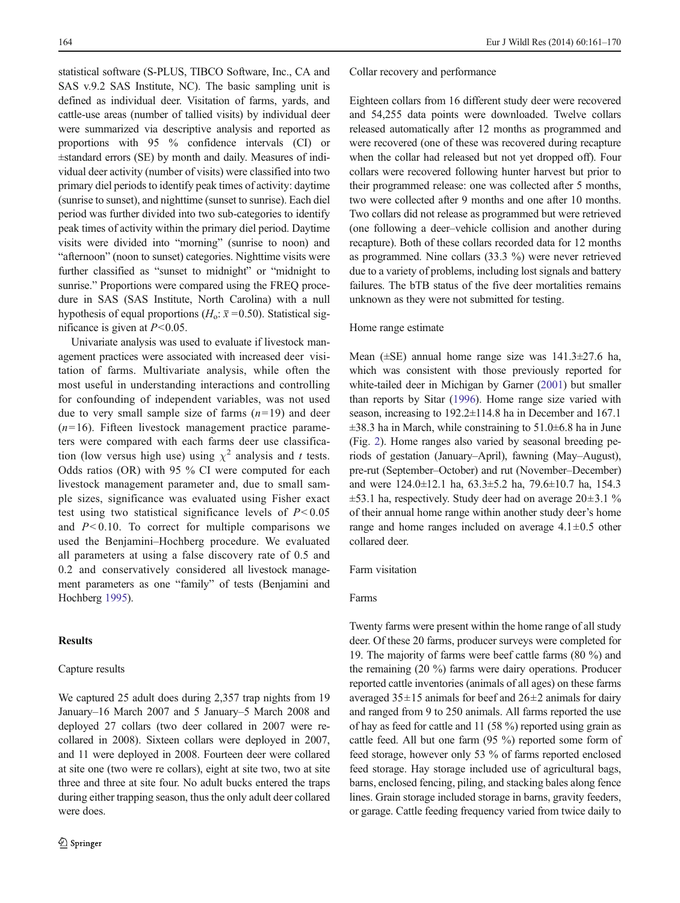statistical software (S-PLUS, TIBCO Software, Inc., CA and SAS v.9.2 SAS Institute, NC). The basic sampling unit is defined as individual deer. Visitation of farms, yards, and cattle-use areas (number of tallied visits) by individual deer were summarized via descriptive analysis and reported as proportions with 95 % confidence intervals (CI) or ±standard errors (SE) by month and daily. Measures of individual deer activity (number of visits) were classified into two primary diel periods to identify peak times of activity: daytime (sunrise to sunset), and nighttime (sunset to sunrise). Each diel period was further divided into two sub-categories to identify peak times of activity within the primary diel period. Daytime visits were divided into "morning" (sunrise to noon) and "afternoon" (noon to sunset) categories. Nighttime visits were further classified as "sunset to midnight" or "midnight to sunrise." Proportions were compared using the FREQ procedure in SAS (SAS Institute, North Carolina) with a null hypothesis of equal proportions ( $H_0$ :  $\bar{x}$  =0.50). Statistical significance is given at  $P<0.05$ .

Univariate analysis was used to evaluate if livestock management practices were associated with increased deer visitation of farms. Multivariate analysis, while often the most useful in understanding interactions and controlling for confounding of independent variables, was not used due to very small sample size of farms  $(n=19)$  and deer  $(n=16)$ . Fifteen livestock management practice parameters were compared with each farms deer use classification (low versus high use) using  $\chi^2$  analysis and t tests. Odds ratios (OR) with 95 % CI were computed for each livestock management parameter and, due to small sample sizes, significance was evaluated using Fisher exact test using two statistical significance levels of  $P < 0.05$ and  $P<0.10$ . To correct for multiple comparisons we used the Benjamini–Hochberg procedure. We evaluated all parameters at using a false discovery rate of 0.5 and 0.2 and conservatively considered all livestock management parameters as one "family" of tests (Benjamini and Hochberg [1995](#page-8-0)).

## **Results**

#### Capture results

We captured 25 adult does during 2,357 trap nights from 19 January–16 March 2007 and 5 January–5 March 2008 and deployed 27 collars (two deer collared in 2007 were recollared in 2008). Sixteen collars were deployed in 2007, and 11 were deployed in 2008. Fourteen deer were collared at site one (two were re collars), eight at site two, two at site three and three at site four. No adult bucks entered the traps during either trapping season, thus the only adult deer collared were does.

#### Collar recovery and performance

Eighteen collars from 16 different study deer were recovered and 54,255 data points were downloaded. Twelve collars released automatically after 12 months as programmed and were recovered (one of these was recovered during recapture when the collar had released but not yet dropped off). Four collars were recovered following hunter harvest but prior to their programmed release: one was collected after 5 months, two were collected after 9 months and one after 10 months. Two collars did not release as programmed but were retrieved (one following a deer–vehicle collision and another during recapture). Both of these collars recorded data for 12 months as programmed. Nine collars (33.3 %) were never retrieved due to a variety of problems, including lost signals and battery failures. The bTB status of the five deer mortalities remains unknown as they were not submitted for testing.

#### Home range estimate

Mean  $(\pm SE)$  annual home range size was  $141.3 \pm 27.6$  ha, which was consistent with those previously reported for white-tailed deer in Michigan by Garner ([2001](#page-9-0)) but smaller than reports by Sitar [\(1996\)](#page-10-0). Home range size varied with season, increasing to 192.2±114.8 ha in December and 167.1  $\pm$ 38.3 ha in March, while constraining to 51.0 $\pm$ 6.8 ha in June (Fig. [2](#page-5-0)). Home ranges also varied by seasonal breeding periods of gestation (January–April), fawning (May–August), pre-rut (September–October) and rut (November–December) and were 124.0±12.1 ha, 63.3±5.2 ha, 79.6±10.7 ha, 154.3  $\pm$ 53.1 ha, respectively. Study deer had on average 20 $\pm$ 3.1 % of their annual home range within another study deer's home range and home ranges included on average  $4.1 \pm 0.5$  other collared deer.

## Farm visitation

## Farms

Twenty farms were present within the home range of all study deer. Of these 20 farms, producer surveys were completed for 19. The majority of farms were beef cattle farms (80 %) and the remaining (20 %) farms were dairy operations. Producer reported cattle inventories (animals of all ages) on these farms averaged  $35\pm15$  animals for beef and  $26\pm2$  animals for dairy and ranged from 9 to 250 animals. All farms reported the use of hay as feed for cattle and 11 (58 %) reported using grain as cattle feed. All but one farm (95 %) reported some form of feed storage, however only 53 % of farms reported enclosed feed storage. Hay storage included use of agricultural bags, barns, enclosed fencing, piling, and stacking bales along fence lines. Grain storage included storage in barns, gravity feeders, or garage. Cattle feeding frequency varied from twice daily to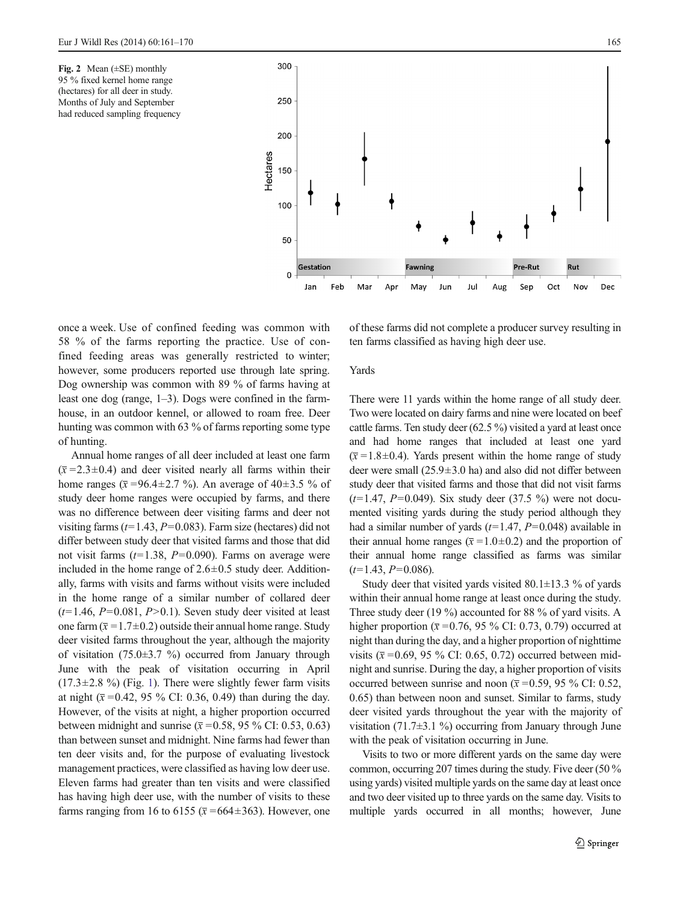<span id="page-5-0"></span>



once a week. Use of confined feeding was common with 58 % of the farms reporting the practice. Use of confined feeding areas was generally restricted to winter; however, some producers reported use through late spring. Dog ownership was common with 89 % of farms having at least one dog (range, 1–3). Dogs were confined in the farmhouse, in an outdoor kennel, or allowed to roam free. Deer hunting was common with 63 % of farms reporting some type of hunting.

Annual home ranges of all deer included at least one farm  $(\bar{x} = 2.3 \pm 0.4)$  and deer visited nearly all farms within their home ranges ( $\bar{x} = 96.4 \pm 2.7$  %). An average of  $40 \pm 3.5$  % of study deer home ranges were occupied by farms, and there was no difference between deer visiting farms and deer not visiting farms  $(t=1.43, P=0.083)$ . Farm size (hectares) did not differ between study deer that visited farms and those that did not visit farms  $(t=1.38, P=0.090)$ . Farms on average were included in the home range of  $2.6\pm0.5$  study deer. Additionally, farms with visits and farms without visits were included in the home range of a similar number of collared deer  $(t=1.46, P=0.081, P>0.1)$ . Seven study deer visited at least one farm ( $\bar{x}$  = 1.7 $\pm$ 0.2) outside their annual home range. Study deer visited farms throughout the year, although the majority of visitation  $(75.0\pm3.7 \%)$  occurred from January through June with the peak of visitation occurring in April  $(17.3\pm2.8\%)$  $(17.3\pm2.8\%)$  $(17.3\pm2.8\%)$  (Fig. 1). There were slightly fewer farm visits at night ( $\bar{x}$  =0.42, 95 % CI: 0.36, 0.49) than during the day. However, of the visits at night, a higher proportion occurred between midnight and sunrise ( $\bar{x}$  =0.58, 95 % CI: 0.53, 0.63) than between sunset and midnight. Nine farms had fewer than ten deer visits and, for the purpose of evaluating livestock management practices, were classified as having low deer use. Eleven farms had greater than ten visits and were classified has having high deer use, with the number of visits to these farms ranging from 16 to 6155 ( $\bar{x}$  =664±363). However, one of these farms did not complete a producer survey resulting in ten farms classified as having high deer use.

## Yards

There were 11 yards within the home range of all study deer. Two were located on dairy farms and nine were located on beef cattle farms. Ten study deer (62.5 %) visited a yard at least once and had home ranges that included at least one yard  $(\bar{x} = 1.8 \pm 0.4)$ . Yards present within the home range of study deer were small (25.9±3.0 ha) and also did not differ between study deer that visited farms and those that did not visit farms  $(t=1.47, P=0.049)$ . Six study deer (37.5 %) were not documented visiting yards during the study period although they had a similar number of yards  $(t=1.47, P=0.048)$  available in their annual home ranges ( $\bar{x}$  = 1.0±0.2) and the proportion of their annual home range classified as farms was similar  $(t=1.43, P=0.086)$ .

Study deer that visited yards visited  $80.1 \pm 13.3$  % of yards within their annual home range at least once during the study. Three study deer (19 %) accounted for 88 % of yard visits. A higher proportion ( $\bar{x}$  =0.76, 95 % CI: 0.73, 0.79) occurred at night than during the day, and a higher proportion of nighttime visits ( $\bar{x}$  = 0.69, 95 % CI: 0.65, 0.72) occurred between midnight and sunrise. During the day, a higher proportion of visits occurred between sunrise and noon ( $\bar{x}$  =0.59, 95 % CI: 0.52, 0.65) than between noon and sunset. Similar to farms, study deer visited yards throughout the year with the majority of visitation (71.7 $\pm$ 3.1 %) occurring from January through June with the peak of visitation occurring in June.

Visits to two or more different yards on the same day were common, occurring 207 times during the study. Five deer (50 % using yards) visited multiple yards on the same day at least once and two deer visited up to three yards on the same day. Visits to multiple yards occurred in all months; however, June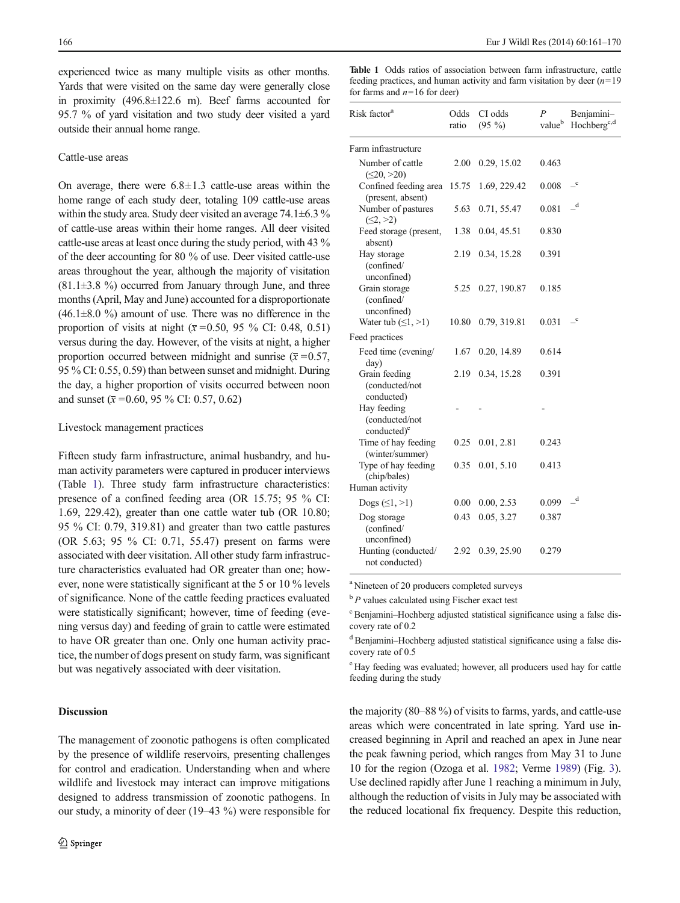experienced twice as many multiple visits as other months. Yards that were visited on the same day were generally close in proximity (496.8±122.6 m). Beef farms accounted for 95.7 % of yard visitation and two study deer visited a yard outside their annual home range.

## Cattle-use areas

On average, there were  $6.8 \pm 1.3$  cattle-use areas within the home range of each study deer, totaling 109 cattle-use areas within the study area. Study deer visited an average  $74.1\pm6.3\%$ of cattle-use areas within their home ranges. All deer visited cattle-use areas at least once during the study period, with 43 % of the deer accounting for 80 % of use. Deer visited cattle-use areas throughout the year, although the majority of visitation  $(81.1\pm3.8\%)$  occurred from January through June, and three months (April, May and June) accounted for a disproportionate  $(46.1\pm8.0\%)$  amount of use. There was no difference in the proportion of visits at night ( $\bar{x}$  =0.50, 95 % CI: 0.48, 0.51) versus during the day. However, of the visits at night, a higher proportion occurred between midnight and sunrise ( $\bar{x} = 0.57$ , 95 % CI: 0.55, 0.59) than between sunset and midnight. During the day, a higher proportion of visits occurred between noon and sunset ( $\bar{x}$  = 0.60, 95 % CI: 0.57, 0.62)

## Livestock management practices

Fifteen study farm infrastructure, animal husbandry, and human activity parameters were captured in producer interviews (Table 1). Three study farm infrastructure characteristics: presence of a confined feeding area (OR 15.75; 95 % CI: 1.69, 229.42), greater than one cattle water tub (OR 10.80; 95 % CI: 0.79, 319.81) and greater than two cattle pastures (OR 5.63; 95 % CI: 0.71, 55.47) present on farms were associated with deer visitation. All other study farm infrastructure characteristics evaluated had OR greater than one; however, none were statistically significant at the 5 or 10 % levels of significance. None of the cattle feeding practices evaluated were statistically significant; however, time of feeding (evening versus day) and feeding of grain to cattle were estimated to have OR greater than one. Only one human activity practice, the number of dogs present on study farm, was significant but was negatively associated with deer visitation.

## Discussion

The management of zoonotic pathogens is often complicated by the presence of wildlife reservoirs, presenting challenges for control and eradication. Understanding when and where wildlife and livestock may interact can improve mitigations designed to address transmission of zoonotic pathogens. In our study, a minority of deer (19–43 %) were responsible for

Table 1 Odds ratios of association between farm infrastructure, cattle feeding practices, and human activity and farm visitation by deer  $(n=19)$ for farms and  $n=16$  for deer)

| Risk factor <sup>a</sup>                                 | Odds<br>ratio | CI odds<br>$(95\%)$ | $\boldsymbol{P}$<br>value <sup>b</sup> | Benjamini-<br>Hochberg <sup>c,d</sup> |
|----------------------------------------------------------|---------------|---------------------|----------------------------------------|---------------------------------------|
| Farm infrastructure                                      |               |                     |                                        |                                       |
| Number of cattle<br>$( \leq 20, \geq 20)$                | 2.00          | 0.29, 15.02         | 0.463                                  |                                       |
| Confined feeding area<br>(present, absent)               | 15.75         | 1.69, 229.42        | 0.008                                  | $\mathbf{C}$                          |
| Number of pastures<br>(52, >2)                           | 5.63          | 0.71, 55.47         | 0.081                                  | $\mathbf{d}$                          |
| Feed storage (present,<br>absent)                        | 1.38          | 0.04, 45.51         | 0.830                                  |                                       |
| Hay storage<br>(confined/<br>unconfined)                 | 2.19          | 0.34, 15.28         | 0.391                                  |                                       |
| Grain storage<br>(confined/<br>unconfined)               | 5.25          | 0.27, 190.87        | 0.185                                  |                                       |
| Water tub $(≤1, >1)$                                     | 10.80         | 0.79, 319.81        | 0.031                                  | $\mathbf{C}$                          |
| Feed practices                                           |               |                     |                                        |                                       |
| Feed time (evening/<br>day)                              | 1.67          | 0.20, 14.89         | 0.614                                  |                                       |
| Grain feeding<br>(conducted/not<br>conducted)            | 2.19          | 0.34, 15.28         | 0.391                                  |                                       |
| Hay feeding<br>(conducted/not<br>conducted) <sup>e</sup> |               |                     |                                        |                                       |
| Time of hay feeding<br>(winter/summer)                   | 0.25          | 0.01, 2.81          | 0.243                                  |                                       |
| Type of hay feeding<br>(chip/bales)                      | 0.35          | 0.01, 5.10          | 0.413                                  |                                       |
| Human activity                                           |               |                     |                                        |                                       |
| Dogs $(\leq l, \geq l)$                                  | 0.00          | 0.00, 2.53          | 0.099                                  | $\rm d$                               |
| Dog storage<br>(confined/<br>unconfined)                 | 0.43          | 0.05, 3.27          | 0.387                                  |                                       |
| Hunting (conducted/<br>not conducted)                    | 2.92          | 0.39, 25.90         | 0.279                                  |                                       |

<sup>a</sup> Nineteen of 20 producers completed surveys

 $b$  P values calculated using Fischer exact test

c Benjamini–Hochberg adjusted statistical significance using a false discovery rate of 0.2

<sup>d</sup> Benjamini–Hochberg adjusted statistical significance using a false discovery rate of 0.5

e Hay feeding was evaluated; however, all producers used hay for cattle feeding during the study

the majority (80–88 %) of visits to farms, yards, and cattle-use areas which were concentrated in late spring. Yard use increased beginning in April and reached an apex in June near the peak fawning period, which ranges from May 31 to June 10 for the region (Ozoga et al. [1982](#page-9-0); Verme [1989](#page-10-0)) (Fig. [3\)](#page-7-0). Use declined rapidly after June 1 reaching a minimum in July, although the reduction of visits in July may be associated with the reduced locational fix frequency. Despite this reduction,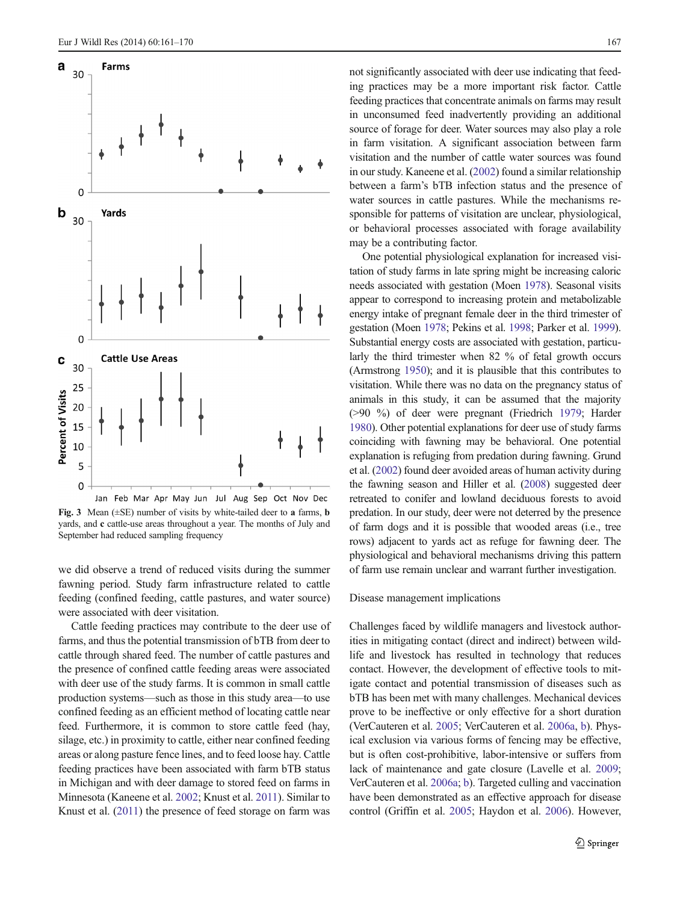<span id="page-7-0"></span>

Fig. 3 Mean  $(\pm SE)$  number of visits by white-tailed deer to a farms, b yards, and c cattle-use areas throughout a year. The months of July and September had reduced sampling frequency

we did observe a trend of reduced visits during the summer fawning period. Study farm infrastructure related to cattle feeding (confined feeding, cattle pastures, and water source) were associated with deer visitation.

Cattle feeding practices may contribute to the deer use of farms, and thus the potential transmission of bTB from deer to cattle through shared feed. The number of cattle pastures and the presence of confined cattle feeding areas were associated with deer use of the study farms. It is common in small cattle production systems—such as those in this study area—to use confined feeding as an efficient method of locating cattle near feed. Furthermore, it is common to store cattle feed (hay, silage, etc.) in proximity to cattle, either near confined feeding areas or along pasture fence lines, and to feed loose hay. Cattle feeding practices have been associated with farm bTB status in Michigan and with deer damage to stored feed on farms in Minnesota (Kaneene et al. [2002](#page-9-0); Knust et al. [2011](#page-9-0)). Similar to Knust et al. [\(2011\)](#page-9-0) the presence of feed storage on farm was

not significantly associated with deer use indicating that feeding practices may be a more important risk factor. Cattle feeding practices that concentrate animals on farms may result in unconsumed feed inadvertently providing an additional source of forage for deer. Water sources may also play a role in farm visitation. A significant association between farm visitation and the number of cattle water sources was found in our study. Kaneene et al. ([2002](#page-9-0)) found a similar relationship between a farm's bTB infection status and the presence of water sources in cattle pastures. While the mechanisms responsible for patterns of visitation are unclear, physiological, or behavioral processes associated with forage availability may be a contributing factor.

One potential physiological explanation for increased visitation of study farms in late spring might be increasing caloric needs associated with gestation (Moen [1978\)](#page-9-0). Seasonal visits appear to correspond to increasing protein and metabolizable energy intake of pregnant female deer in the third trimester of gestation (Moen [1978;](#page-9-0) Pekins et al. [1998](#page-9-0); Parker et al. [1999\)](#page-9-0). Substantial energy costs are associated with gestation, particularly the third trimester when 82 % of fetal growth occurs (Armstrong [1950](#page-8-0)); and it is plausible that this contributes to visitation. While there was no data on the pregnancy status of animals in this study, it can be assumed that the majority (>90 %) of deer were pregnant (Friedrich [1979](#page-9-0); Harder [1980](#page-9-0)). Other potential explanations for deer use of study farms coinciding with fawning may be behavioral. One potential explanation is refuging from predation during fawning. Grund et al. [\(2002\)](#page-9-0) found deer avoided areas of human activity during the fawning season and Hiller et al. [\(2008](#page-9-0)) suggested deer retreated to conifer and lowland deciduous forests to avoid predation. In our study, deer were not deterred by the presence of farm dogs and it is possible that wooded areas (i.e., tree rows) adjacent to yards act as refuge for fawning deer. The physiological and behavioral mechanisms driving this pattern of farm use remain unclear and warrant further investigation.

#### Disease management implications

Challenges faced by wildlife managers and livestock authorities in mitigating contact (direct and indirect) between wildlife and livestock has resulted in technology that reduces contact. However, the development of effective tools to mitigate contact and potential transmission of diseases such as bTB has been met with many challenges. Mechanical devices prove to be ineffective or only effective for a short duration (VerCauteren et al. [2005;](#page-10-0) VerCauteren et al. [2006a,](#page-10-0) [b\)](#page-10-0). Physical exclusion via various forms of fencing may be effective, but is often cost-prohibitive, labor-intensive or suffers from lack of maintenance and gate closure (Lavelle et al. [2009;](#page-9-0) VerCauteren et al. [2006a](#page-10-0); [b\)](#page-10-0). Targeted culling and vaccination have been demonstrated as an effective approach for disease control (Griffin et al. [2005](#page-9-0); Haydon et al. [2006](#page-9-0)). However,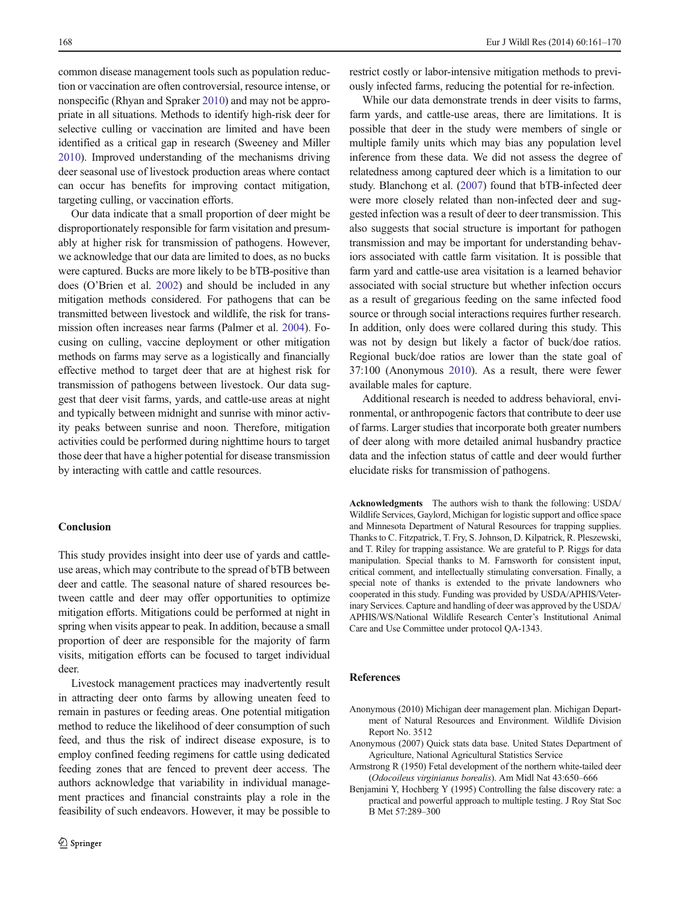<span id="page-8-0"></span>common disease management tools such as population reduction or vaccination are often controversial, resource intense, or nonspecific (Rhyan and Spraker [2010\)](#page-10-0) and may not be appropriate in all situations. Methods to identify high-risk deer for selective culling or vaccination are limited and have been identified as a critical gap in research (Sweeney and Miller [2010\)](#page-10-0). Improved understanding of the mechanisms driving deer seasonal use of livestock production areas where contact can occur has benefits for improving contact mitigation, targeting culling, or vaccination efforts.

Our data indicate that a small proportion of deer might be disproportionately responsible for farm visitation and presumably at higher risk for transmission of pathogens. However, we acknowledge that our data are limited to does, as no bucks were captured. Bucks are more likely to be bTB-positive than does (O'Brien et al. [2002](#page-9-0)) and should be included in any mitigation methods considered. For pathogens that can be transmitted between livestock and wildlife, the risk for transmission often increases near farms (Palmer et al. [2004\)](#page-9-0). Focusing on culling, vaccine deployment or other mitigation methods on farms may serve as a logistically and financially effective method to target deer that are at highest risk for transmission of pathogens between livestock. Our data suggest that deer visit farms, yards, and cattle-use areas at night and typically between midnight and sunrise with minor activity peaks between sunrise and noon. Therefore, mitigation activities could be performed during nighttime hours to target those deer that have a higher potential for disease transmission by interacting with cattle and cattle resources.

## Conclusion

This study provides insight into deer use of yards and cattleuse areas, which may contribute to the spread of bTB between deer and cattle. The seasonal nature of shared resources between cattle and deer may offer opportunities to optimize mitigation efforts. Mitigations could be performed at night in spring when visits appear to peak. In addition, because a small proportion of deer are responsible for the majority of farm visits, mitigation efforts can be focused to target individual deer.

Livestock management practices may inadvertently result in attracting deer onto farms by allowing uneaten feed to remain in pastures or feeding areas. One potential mitigation method to reduce the likelihood of deer consumption of such feed, and thus the risk of indirect disease exposure, is to employ confined feeding regimens for cattle using dedicated feeding zones that are fenced to prevent deer access. The authors acknowledge that variability in individual management practices and financial constraints play a role in the feasibility of such endeavors. However, it may be possible to restrict costly or labor-intensive mitigation methods to previously infected farms, reducing the potential for re-infection.

While our data demonstrate trends in deer visits to farms, farm yards, and cattle-use areas, there are limitations. It is possible that deer in the study were members of single or multiple family units which may bias any population level inference from these data. We did not assess the degree of relatedness among captured deer which is a limitation to our study. Blanchong et al. [\(2007\)](#page-9-0) found that bTB-infected deer were more closely related than non-infected deer and suggested infection was a result of deer to deer transmission. This also suggests that social structure is important for pathogen transmission and may be important for understanding behaviors associated with cattle farm visitation. It is possible that farm yard and cattle-use area visitation is a learned behavior associated with social structure but whether infection occurs as a result of gregarious feeding on the same infected food source or through social interactions requires further research. In addition, only does were collared during this study. This was not by design but likely a factor of buck/doe ratios. Regional buck/doe ratios are lower than the state goal of 37:100 (Anonymous 2010). As a result, there were fewer available males for capture.

Additional research is needed to address behavioral, environmental, or anthropogenic factors that contribute to deer use of farms. Larger studies that incorporate both greater numbers of deer along with more detailed animal husbandry practice data and the infection status of cattle and deer would further elucidate risks for transmission of pathogens.

Acknowledgments The authors wish to thank the following: USDA/ Wildlife Services, Gaylord, Michigan for logistic support and office space and Minnesota Department of Natural Resources for trapping supplies. Thanks to C. Fitzpatrick, T. Fry, S. Johnson, D. Kilpatrick, R. Pleszewski, and T. Riley for trapping assistance. We are grateful to P. Riggs for data manipulation. Special thanks to M. Farnsworth for consistent input, critical comment, and intellectually stimulating conversation. Finally, a special note of thanks is extended to the private landowners who cooperated in this study. Funding was provided by USDA/APHIS/Veterinary Services. Capture and handling of deer was approved by the USDA/ APHIS/WS/National Wildlife Research Center's Institutional Animal Care and Use Committee under protocol QA-1343.

## References

- Anonymous (2010) Michigan deer management plan. Michigan Department of Natural Resources and Environment. Wildlife Division Report No. 3512
- Anonymous (2007) Quick stats data base. United States Department of Agriculture, National Agricultural Statistics Service
- Armstrong R (1950) Fetal development of the northern white-tailed deer (Odocoileus virginianus borealis). Am Midl Nat 43:650–666
- Benjamini Y, Hochberg Y (1995) Controlling the false discovery rate: a practical and powerful approach to multiple testing. J Roy Stat Soc B Met 57:289–300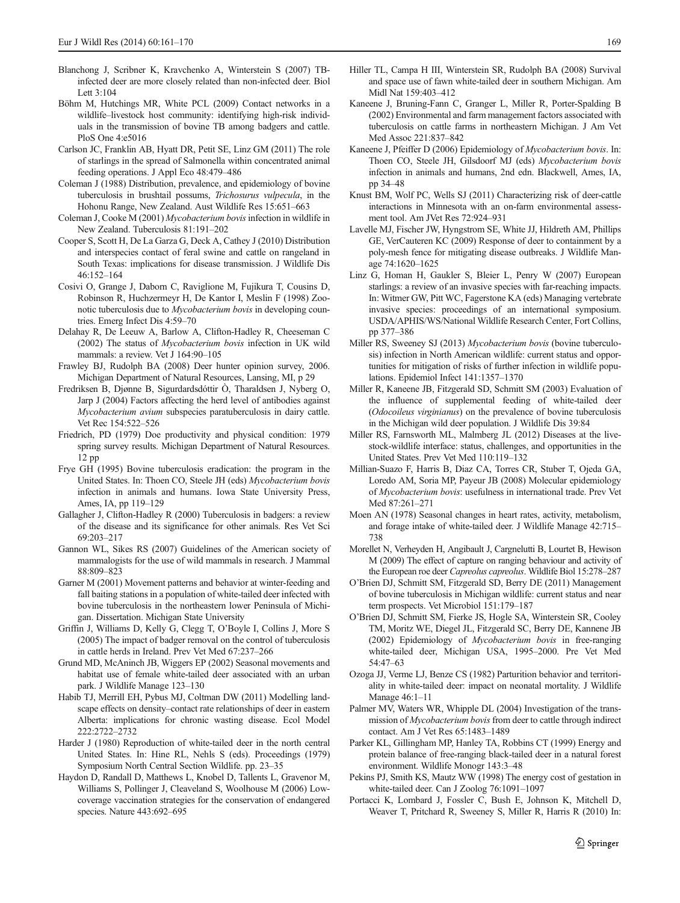- <span id="page-9-0"></span>Böhm M, Hutchings MR, White PCL (2009) Contact networks in a wildlife–livestock host community: identifying high-risk individuals in the transmission of bovine TB among badgers and cattle. PloS One 4:e5016
- Carlson JC, Franklin AB, Hyatt DR, Petit SE, Linz GM (2011) The role of starlings in the spread of Salmonella within concentrated animal feeding operations. J Appl Eco 48:479–486
- Coleman J (1988) Distribution, prevalence, and epidemiology of bovine tuberculosis in brushtail possums, Trichosurus vulpecula, in the Hohonu Range, New Zealand. Aust Wildlife Res 15:651–663
- Coleman J, Cooke M (2001) Mycobacterium bovis infection in wildlife in New Zealand. Tuberculosis 81:191–202
- Cooper S, Scott H, De La Garza G, Deck A, Cathey J (2010) Distribution and interspecies contact of feral swine and cattle on rangeland in South Texas: implications for disease transmission. J Wildlife Dis 46:152–164
- Cosivi O, Grange J, Daborn C, Raviglione M, Fujikura T, Cousins D, Robinson R, Huchzermeyr H, De Kantor I, Meslin F (1998) Zoonotic tuberculosis due to Mycobacterium bovis in developing countries. Emerg Infect Dis 4:59–70
- Delahay R, De Leeuw A, Barlow A, Clifton-Hadley R, Cheeseman C (2002) The status of Mycobacterium bovis infection in UK wild mammals: a review. Vet J 164:90–105
- Frawley BJ, Rudolph BA (2008) Deer hunter opinion survey, 2006. Michigan Department of Natural Resources, Lansing, MI, p 29
- Fredriksen B, Djønne B, Sigurdardsdóttir Ò, Tharaldsen J, Nyberg O, Jarp J (2004) Factors affecting the herd level of antibodies against Mycobacterium avium subspecies paratuberculosis in dairy cattle. Vet Rec 154:522–526
- Friedrich, PD (1979) Doe productivity and physical condition: 1979 spring survey results. Michigan Department of Natural Resources.  $12 \text{nn}$
- Frye GH (1995) Bovine tuberculosis eradication: the program in the United States. In: Thoen CO, Steele JH (eds) Mycobacterium bovis infection in animals and humans. Iowa State University Press, Ames, IA, pp 119–129
- Gallagher J, Clifton-Hadley R (2000) Tuberculosis in badgers: a review of the disease and its significance for other animals. Res Vet Sci 69:203–217
- Gannon WL, Sikes RS (2007) Guidelines of the American society of mammalogists for the use of wild mammals in research. J Mammal 88:809–823
- Garner M (2001) Movement patterns and behavior at winter-feeding and fall baiting stations in a population of white-tailed deer infected with bovine tuberculosis in the northeastern lower Peninsula of Michigan. Dissertation. Michigan State University
- Griffin J, Williams D, Kelly G, Clegg T, O'Boyle I, Collins J, More S (2005) The impact of badger removal on the control of tuberculosis in cattle herds in Ireland. Prev Vet Med 67:237–266
- Grund MD, McAninch JB, Wiggers EP (2002) Seasonal movements and habitat use of female white-tailed deer associated with an urban park. J Wildlife Manage 123–130
- Habib TJ, Merrill EH, Pybus MJ, Coltman DW (2011) Modelling landscape effects on density–contact rate relationships of deer in eastern Alberta: implications for chronic wasting disease. Ecol Model 222:2722–2732
- Harder J (1980) Reproduction of white-tailed deer in the north central United States. In: Hine RL, Nehls S (eds). Proceedings (1979) Symposium North Central Section Wildlife. pp. 23–35
- Haydon D, Randall D, Matthews L, Knobel D, Tallents L, Gravenor M, Williams S, Pollinger J, Cleaveland S, Woolhouse M (2006) Lowcoverage vaccination strategies for the conservation of endangered species. Nature 443:692–695
- Hiller TL, Campa H III, Winterstein SR, Rudolph BA (2008) Survival and space use of fawn white-tailed deer in southern Michigan. Am Midl Nat 159:403–412
- Kaneene J, Bruning-Fann C, Granger L, Miller R, Porter-Spalding B (2002) Environmental and farm management factors associated with tuberculosis on cattle farms in northeastern Michigan. J Am Vet Med Assoc 221:837–842
- Kaneene J, Pfeiffer D (2006) Epidemiology of Mycobacterium bovis. In: Thoen CO, Steele JH, Gilsdoorf MJ (eds) Mycobacterium bovis infection in animals and humans, 2nd edn. Blackwell, Ames, IA, pp 34–48
- Knust BM, Wolf PC, Wells SJ (2011) Characterizing risk of deer-cattle interactions in Minnesota with an on-farm environmental assessment tool. Am JVet Res 72:924–931
- Lavelle MJ, Fischer JW, Hyngstrom SE, White JJ, Hildreth AM, Phillips GE, VerCauteren KC (2009) Response of deer to containment by a poly-mesh fence for mitigating disease outbreaks. J Wildlife Manage 74:1620–1625
- Linz G, Homan H, Gaukler S, Bleier L, Penry W (2007) European starlings: a review of an invasive species with far-reaching impacts. In: Witmer GW, Pitt WC, Fagerstone KA (eds) Managing vertebrate invasive species: proceedings of an international symposium. USDA/APHIS/WS/National Wildlife Research Center, Fort Collins, pp 377–386
- Miller RS, Sweeney SJ (2013) Mycobacterium bovis (bovine tuberculosis) infection in North American wildlife: current status and opportunities for mitigation of risks of further infection in wildlife populations. Epidemiol Infect 141:1357–1370
- Miller R, Kaneene JB, Fitzgerald SD, Schmitt SM (2003) Evaluation of the influence of supplemental feeding of white-tailed deer (Odocoileus virginianus) on the prevalence of bovine tuberculosis in the Michigan wild deer population. J Wildlife Dis 39:84
- Miller RS, Farnsworth ML, Malmberg JL (2012) Diseases at the livestock-wildlife interface: status, challenges, and opportunities in the United States. Prev Vet Med 110:119–132
- Millian-Suazo F, Harris B, Diaz CA, Torres CR, Stuber T, Ojeda GA, Loredo AM, Soria MP, Payeur JB (2008) Molecular epidemiology of Mycobacterium bovis: usefulness in international trade. Prev Vet Med 87:261–271
- Moen AN (1978) Seasonal changes in heart rates, activity, metabolism, and forage intake of white-tailed deer. J Wildlife Manage 42:715– 738
- Morellet N, Verheyden H, Angibault J, Cargnelutti B, Lourtet B, Hewison M (2009) The effect of capture on ranging behaviour and activity of the European roe deer Capreolus capreolus. Wildlife Biol 15:278–287
- O'Brien DJ, Schmitt SM, Fitzgerald SD, Berry DE (2011) Management of bovine tuberculosis in Michigan wildlife: current status and near term prospects. Vet Microbiol 151:179–187
- O'Brien DJ, Schmitt SM, Fierke JS, Hogle SA, Winterstein SR, Cooley TM, Moritz WE, Diegel JL, Fitzgerald SC, Berry DE, Kannene JB (2002) Epidemiology of Mycobacterium bovis in free-ranging white-tailed deer, Michigan USA, 1995–2000. Pre Vet Med 54:47–63
- Ozoga JJ, Verme LJ, Benze CS (1982) Parturition behavior and territoriality in white-tailed deer: impact on neonatal mortality. J Wildlife Manage 46:1–11
- Palmer MV, Waters WR, Whipple DL (2004) Investigation of the transmission of Mycobacterium bovis from deer to cattle through indirect contact. Am J Vet Res 65:1483–1489
- Parker KL, Gillingham MP, Hanley TA, Robbins CT (1999) Energy and protein balance of free-ranging black-tailed deer in a natural forest environment. Wildlife Monogr 143:3–48
- Pekins PJ, Smith KS, Mautz WW (1998) The energy cost of gestation in white-tailed deer. Can J Zoolog 76:1091–1097
- Portacci K, Lombard J, Fossler C, Bush E, Johnson K, Mitchell D, Weaver T, Pritchard R, Sweeney S, Miller R, Harris R (2010) In: